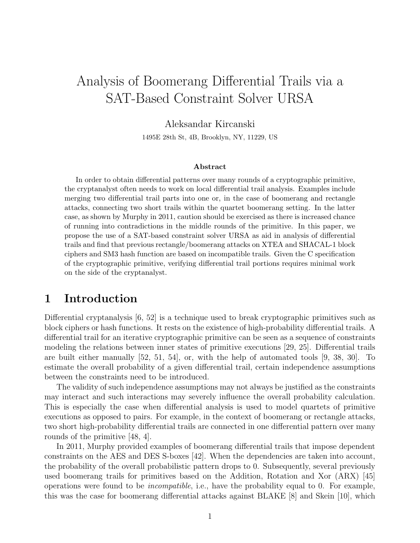# Analysis of Boomerang Differential Trails via a SAT-Based Constraint Solver URSA

Aleksandar Kircanski

1495E 28th St, 4B, Brooklyn, NY, 11229, US

#### Abstract

In order to obtain differential patterns over many rounds of a cryptographic primitive, the cryptanalyst often needs to work on local differential trail analysis. Examples include merging two differential trail parts into one or, in the case of boomerang and rectangle attacks, connecting two short trails within the quartet boomerang setting. In the latter case, as shown by Murphy in 2011, caution should be exercised as there is increased chance of running into contradictions in the middle rounds of the primitive. In this paper, we propose the use of a SAT-based constraint solver URSA as aid in analysis of differential trails and find that previous rectangle/boomerang attacks on XTEA and SHACAL-1 block ciphers and SM3 hash function are based on incompatible trails. Given the C specification of the cryptographic primitive, verifying differential trail portions requires minimal work on the side of the cryptanalyst.

## 1 Introduction

Differential cryptanalysis [6, 52] is a technique used to break cryptographic primitives such as block ciphers or hash functions. It rests on the existence of high-probability differential trails. A differential trail for an iterative cryptographic primitive can be seen as a sequence of constraints modeling the relations between inner states of primitive executions [29, 25]. Differential trails are built either manually [52, 51, 54], or, with the help of automated tools [9, 38, 30]. To estimate the overall probability of a given differential trail, certain independence assumptions between the constraints need to be introduced.

The validity of such independence assumptions may not always be justified as the constraints may interact and such interactions may severely influence the overall probability calculation. This is especially the case when differential analysis is used to model quartets of primitive executions as opposed to pairs. For example, in the context of boomerang or rectangle attacks, two short high-probability differential trails are connected in one differential pattern over many rounds of the primitive [48, 4].

In 2011, Murphy provided examples of boomerang differential trails that impose dependent constraints on the AES and DES S-boxes [42]. When the dependencies are taken into account, the probability of the overall probabilistic pattern drops to 0. Subsequently, several previously used boomerang trails for primitives based on the Addition, Rotation and Xor (ARX) [45] operations were found to be *incompatible*, i.e., have the probability equal to 0. For example, this was the case for boomerang differential attacks against BLAKE [8] and Skein [10], which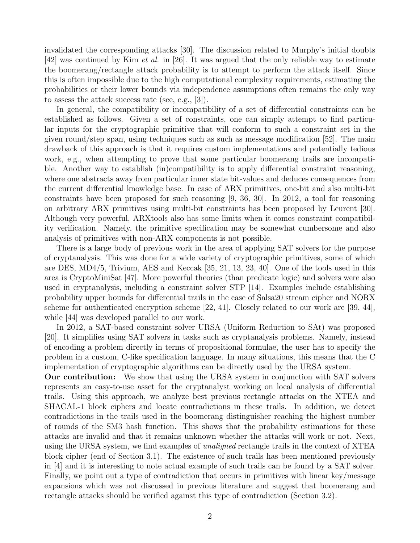invalidated the corresponding attacks [30]. The discussion related to Murphy's initial doubts [42] was continued by Kim et al. in [26]. It was argued that the only reliable way to estimate the boomerang/rectangle attack probability is to attempt to perform the attack itself. Since this is often impossible due to the high computational complexity requirements, estimating the probabilities or their lower bounds via independence assumptions often remains the only way to assess the attack success rate (see, e.g., [3]).

In general, the compatibility or incompatibility of a set of differential constraints can be established as follows. Given a set of constraints, one can simply attempt to find particular inputs for the cryptographic primitive that will conform to such a constraint set in the given round/step span, using techniques such as such as message modification [52]. The main drawback of this approach is that it requires custom implementations and potentially tedious work, e.g., when attempting to prove that some particular boomerang trails are incompatible. Another way to establish (in)compatibility is to apply differential constraint reasoning, where one abstracts away from particular inner state bit-values and deduces consequences from the current differential knowledge base. In case of ARX primitives, one-bit and also multi-bit constraints have been proposed for such reasoning [9, 36, 30]. In 2012, a tool for reasoning on arbitrary ARX primitives using multi-bit constraints has been proposed by Leurent [30]. Although very powerful, ARXtools also has some limits when it comes constraint compatibility verification. Namely, the primitive specification may be somewhat cumbersome and also analysis of primitives with non-ARX components is not possible.

There is a large body of previous work in the area of applying SAT solvers for the purpose of cryptanalysis. This was done for a wide variety of cryptographic primitives, some of which are DES, MD4/5, Trivium, AES and Keccak [35, 21, 13, 23, 40]. One of the tools used in this area is CryptoMiniSat [47]. More powerful theories (than predicate logic) and solvers were also used in cryptanalysis, including a constraint solver STP [14]. Examples include establishing probability upper bounds for differential trails in the case of Salsa20 stream cipher and NORX scheme for authenticated encryption scheme [22, 41]. Closely related to our work are [39, 44], while [44] was developed parallel to our work.

In 2012, a SAT-based constraint solver URSA (Uniform Reduction to SAt) was proposed [20]. It simplifies using SAT solvers in tasks such as cryptanalysis problems. Namely, instead of encoding a problem directly in terms of propositional formulae, the user has to specify the problem in a custom, C-like specification language. In many situations, this means that the C implementation of cryptographic algorithms can be directly used by the URSA system.

Our contribution: We show that using the URSA system in conjunction with SAT solvers represents an easy-to-use asset for the cryptanalyst working on local analysis of differential trails. Using this approach, we analyze best previous rectangle attacks on the XTEA and SHACAL-1 block ciphers and locate contradictions in these trails. In addition, we detect contradictions in the trails used in the boomerang distinguisher reaching the highest number of rounds of the SM3 hash function. This shows that the probability estimations for these attacks are invalid and that it remains unknown whether the attacks will work or not. Next, using the URSA system, we find examples of *unaligned* rectangle trails in the context of XTEA block cipher (end of Section 3.1). The existence of such trails has been mentioned previously in [4] and it is interesting to note actual example of such trails can be found by a SAT solver. Finally, we point out a type of contradiction that occurs in primitives with linear key/message expansions which was not discussed in previous literature and suggest that boomerang and rectangle attacks should be verified against this type of contradiction (Section 3.2).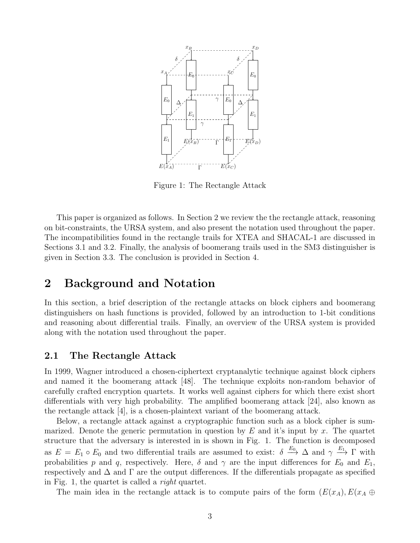

Figure 1: The Rectangle Attack

This paper is organized as follows. In Section 2 we review the the rectangle attack, reasoning on bit-constraints, the URSA system, and also present the notation used throughout the paper. The incompatibilities found in the rectangle trails for XTEA and SHACAL-1 are discussed in Sections 3.1 and 3.2. Finally, the analysis of boomerang trails used in the SM3 distinguisher is given in Section 3.3. The conclusion is provided in Section 4.

## 2 Background and Notation

In this section, a brief description of the rectangle attacks on block ciphers and boomerang distinguishers on hash functions is provided, followed by an introduction to 1-bit conditions and reasoning about differential trails. Finally, an overview of the URSA system is provided along with the notation used throughout the paper.

#### 2.1 The Rectangle Attack

In 1999, Wagner introduced a chosen-ciphertext cryptanalytic technique against block ciphers and named it the boomerang attack [48]. The technique exploits non-random behavior of carefully crafted encryption quartets. It works well against ciphers for which there exist short differentials with very high probability. The amplified boomerang attack [24], also known as the rectangle attack [4], is a chosen-plaintext variant of the boomerang attack.

Below, a rectangle attack against a cryptographic function such as a block cipher is summarized. Denote the generic permutation in question by  $E$  and it's input by  $x$ . The quartet structure that the adversary is interested in is shown in Fig. 1. The function is decomposed as  $E = E_1 \circ E_0$  and two differential trails are assumed to exist:  $\delta \stackrel{E_0}{\longrightarrow} \Delta$  and  $\gamma \stackrel{E_1}{\longrightarrow} \Gamma$  with probabilities p and q, respectively. Here,  $\delta$  and  $\gamma$  are the input differences for  $E_0$  and  $E_1$ , respectively and  $\Delta$  and  $\Gamma$  are the output differences. If the differentials propagate as specified in Fig. 1, the quartet is called a right quartet.

The main idea in the rectangle attack is to compute pairs of the form  $(E(x_A), E(x_A \oplus$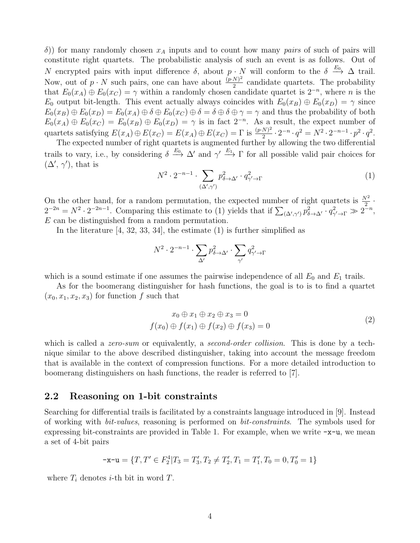δ)) for many randomly chosen  $x_A$  inputs and to count how many pairs of such of pairs will constitute right quartets. The probabilistic analysis of such an event is as follows. Out of N encrypted pairs with input difference  $\delta$ , about  $p \cdot N$  will conform to the  $\delta \stackrel{E_0}{\longrightarrow} \Delta$  trail. Now, out of  $p \cdot N$  such pairs, one can have about  $\frac{(p \cdot N)^2}{2}$  $\frac{N^2}{2}$  candidate quartets. The probability that  $E_0(x_A) \oplus E_0(x_C) = \gamma$  within a randomly chosen candidate quartet is  $2^{-n}$ , where n is the  $E_0$  output bit-length. This event actually always coincides with  $E_0(x_B) \oplus E_0(x_D) = \gamma$  since  $E_0(x_B) \oplus E_0(x_D) = E_0(x_A) \oplus \delta \oplus E_0(x_C) \oplus \delta = \delta \oplus \delta \oplus \gamma = \gamma$  and thus the probability of both  $E_0(x_A) \oplus E_0(x_C) = E_0(x_B) \oplus E_0(x_D) = \gamma$  is in fact  $2^{-n}$ . As a result, the expect number of quartets satisfying  $E(x_A) \oplus E(x_C) = E(x_A) \oplus E(x_C) = \Gamma$  is  $\frac{(p \cdot N)^2}{2}$  $\frac{(N)^2}{2} \cdot 2^{-n} \cdot q^2 = N^2 \cdot 2^{-n-1} \cdot p^2 \cdot q^2.$ 

The expected number of right quartets is augmented further by allowing the two differential trails to vary, i.e., by considering  $\delta \stackrel{E_0}{\longrightarrow} \Delta'$  and  $\gamma' \stackrel{E_1}{\longrightarrow} \Gamma$  for all possible valid pair choices for  $(\Delta', \gamma')$ , that is

$$
N^2 \cdot 2^{-n-1} \cdot \sum_{(\Delta', \gamma')} p_{\delta \to \Delta'}^2 \cdot q_{\gamma' \to \Gamma}^2 \tag{1}
$$

On the other hand, for a random permutation, the expected number of right quartets is  $\frac{N^2}{2}$ .  $2^{-2n} = N^2 \cdot 2^{-2n-1}$ . Comparing this estimate to (1) yields that if  $\sum_{(\Delta',\gamma')} p_{\delta \to \Delta'}^2 \cdot q_{\gamma'\to \Gamma}^2 \gg 2^{-n}$ , E can be distinguished from a random permutation.

In the literature [4, 32, 33, 34], the estimate (1) is further simplified as

$$
N^2 \cdot 2^{-n-1} \cdot \sum_{\Delta'} p_{\delta \to \Delta'}^2 \cdot \sum_{\gamma'} q_{\gamma' \to \Gamma}^2
$$

which is a sound estimate if one assumes the pairwise independence of all  $E_0$  and  $E_1$  trails.

As for the boomerang distinguisher for hash functions, the goal is to is to find a quartet  $(x_0, x_1, x_2, x_3)$  for function f such that

$$
x_0 \oplus x_1 \oplus x_2 \oplus x_3 = 0
$$
  

$$
f(x_0) \oplus f(x_1) \oplus f(x_2) \oplus f(x_3) = 0
$$
 (2)

which is called a *zero-sum* or equivalently, a *second-order collision*. This is done by a technique similar to the above described distinguisher, taking into account the message freedom that is available in the context of compression functions. For a more detailed introduction to boomerang distinguishers on hash functions, the reader is referred to [7].

### 2.2 Reasoning on 1-bit constraints

Searching for differential trails is facilitated by a constraints language introduced in [9]. Instead of working with bit-values, reasoning is performed on bit-constraints. The symbols used for expressing bit-constraints are provided in Table 1. For example, when we write  $-x-u$ , we mean a set of 4-bit pairs

$$
-x-u = \{T, T' \in F_2^4 | T_3 = T'_3, T_2 \neq T'_2, T_1 = T'_1, T_0 = 0, T'_0 = 1\}
$$

where  $T_i$  denotes *i*-th bit in word  $T$ .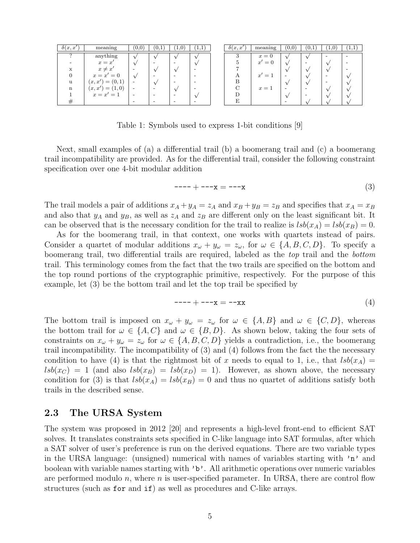| x, x | meaning            |  |  | x, a |
|------|--------------------|--|--|------|
|      | anything           |  |  |      |
|      | $x=x'$             |  |  |      |
| х    | $x \neq x'$        |  |  |      |
|      | $x=x'=0$           |  |  |      |
| u    | $(x, x') = (0, 1)$ |  |  |      |
| n    | $(x, x') = (1, 0)$ |  |  |      |
|      | $x=x'=1$           |  |  |      |
|      |                    |  |  | E    |
|      |                    |  |  |      |

| (x,x) | meaning          | U.U |  |  |
|-------|------------------|-----|--|--|
| 3     | $x=\overline{0}$ |     |  |  |
| 5     | $x'=0$           |     |  |  |
|       |                  |     |  |  |
| А     | $x'=1$           |     |  |  |
| в     |                  |     |  |  |
| С     | $x=1$            |     |  |  |
| D     |                  |     |  |  |
| F.    |                  |     |  |  |

Table 1: Symbols used to express 1-bit conditions [9]

Next, small examples of (a) a differential trail (b) a boomerang trail and (c) a boomerang trail incompatibility are provided. As for the differential trail, consider the following constraint specification over one 4-bit modular addition

$$
--- + ---x = ---x
$$
 (3)

The trail models a pair of additions  $x_A + y_A = z_A$  and  $x_B + y_B = z_B$  and specifies that  $x_A = x_B$ and also that  $y_A$  and  $y_B$ , as well as  $z_A$  and  $z_B$  are different only on the least significant bit. It can be observed that is the necessary condition for the trail to realize is  $lsb(x_A) = lsb(x_B) = 0$ .

As for the boomerang trail, in that context, one works with quartets instead of pairs. Consider a quartet of modular additions  $x_{\omega} + y_{\omega} = z_{\omega}$ , for  $\omega \in \{A, B, C, D\}$ . To specify a boomerang trail, two differential trails are required, labeled as the top trail and the bottom trail. This terminology comes from the fact that the two trails are specified on the bottom and the top round portions of the cryptographic primitive, respectively. For the purpose of this example, let (3) be the bottom trail and let the top trail be specified by

$$
--- + ---x = -x
$$
 (4)

The bottom trail is imposed on  $x_{\omega} + y_{\omega} = z_{\omega}$  for  $\omega \in \{A, B\}$  and  $\omega \in \{C, D\}$ , whereas the bottom trail for  $\omega \in \{A, C\}$  and  $\omega \in \{B, D\}$ . As shown below, taking the four sets of constraints on  $x_\omega + y_\omega = z_\omega$  for  $\omega \in \{A, B, C, D\}$  yields a contradiction, i.e., the boomerang trail incompatibility. The incompatibility of (3) and (4) follows from the fact the the necessary condition to have (4) is that the rightmost bit of x needs to equal to 1, i.e., that  $lsb(x_A)$  =  $lsb(x_C) = 1$  (and also  $lsb(x_B) = lsb(x_D) = 1$ ). However, as shown above, the necessary condition for (3) is that  $lsb(x_A) = lsb(x_B) = 0$  and thus no quartet of additions satisfy both trails in the described sense.

#### 2.3 The URSA System

The system was proposed in 2012 [20] and represents a high-level front-end to efficient SAT solves. It translates constraints sets specified in C-like language into SAT formulas, after which a SAT solver of user's preference is run on the derived equations. There are two variable types in the URSA language: (unsigned) numerical with names of variables starting with  $n$  and boolean with variable names starting with 'b'. All arithmetic operations over numeric variables are performed modulo  $n$ , where  $n$  is user-specified parameter. In URSA, there are control flow structures (such as for and if) as well as procedures and C-like arrays.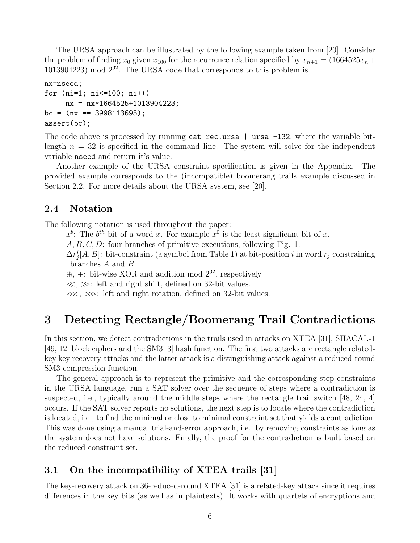The URSA approach can be illustrated by the following example taken from [20]. Consider the problem of finding  $x_0$  given  $x_{100}$  for the recurrence relation specified by  $x_{n+1} = (1664525x_n +$ 1013904223) mod  $2^{32}$ . The URSA code that corresponds to this problem is

```
nx=nseed;
for (ni=1; ni<=100; ni++)
     nx = nx*1664525+1013904223;
bc = (nx == 3998113695);
assert(bc);
```
The code above is processed by running cat rec.ursa | ursa  $-132$ , where the variable bitlength  $n = 32$  is specified in the command line. The system will solve for the independent variable nseed and return it's value.

Another example of the URSA constraint specification is given in the Appendix. The provided example corresponds to the (incompatible) boomerang trails example discussed in Section 2.2. For more details about the URSA system, see [20].

### 2.4 Notation

The following notation is used throughout the paper:

 $x^b$ : The  $b^{th}$  bit of a word x. For example  $x^0$  is the least significant bit of x.

A, B, C, D: four branches of primitive executions, following Fig. 1.

 $\Delta r_j^i[A, B]$ : bit-constraint (a symbol from Table 1) at bit-position i in word  $r_j$  constraining branches A and B.

 $\oplus$ , +: bit-wise XOR and addition mod  $2^{32}$ , respectively

 $\ll$ ,  $\gg$ : left and right shift, defined on 32-bit values.

 $\lll$ ,  $\ggl$ : left and right rotation, defined on 32-bit values.

## 3 Detecting Rectangle/Boomerang Trail Contradictions

In this section, we detect contradictions in the trails used in attacks on XTEA [31], SHACAL-1 [49, 12] block ciphers and the SM3 [3] hash function. The first two attacks are rectangle relatedkey key recovery attacks and the latter attack is a distinguishing attack against a reduced-round SM3 compression function.

The general approach is to represent the primitive and the corresponding step constraints in the URSA language, run a SAT solver over the sequence of steps where a contradiction is suspected, i.e., typically around the middle steps where the rectangle trail switch [48, 24, 4] occurs. If the SAT solver reports no solutions, the next step is to locate where the contradiction is located, i.e., to find the minimal or close to minimal constraint set that yields a contradiction. This was done using a manual trial-and-error approach, i.e., by removing constraints as long as the system does not have solutions. Finally, the proof for the contradiction is built based on the reduced constraint set.

### 3.1 On the incompatibility of XTEA trails [31]

The key-recovery attack on 36-reduced-round XTEA [31] is a related-key attack since it requires differences in the key bits (as well as in plaintexts). It works with quartets of encryptions and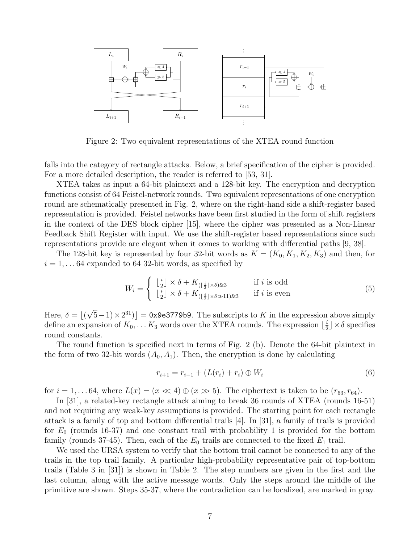

Figure 2: Two equivalent representations of the XTEA round function

falls into the category of rectangle attacks. Below, a brief specification of the cipher is provided. For a more detailed description, the reader is referred to [53, 31].

XTEA takes as input a 64-bit plaintext and a 128-bit key. The encryption and decryption functions consist of 64 Feistel-network rounds. Two equivalent representations of one encryption round are schematically presented in Fig. 2, where on the right-hand side a shift-register based representation is provided. Feistel networks have been first studied in the form of shift registers in the context of the DES block cipher [15], where the cipher was presented as a Non-Linear Feedback Shift Register with input. We use the shift-register based representations since such representations provide are elegant when it comes to working with differential paths [9, 38].

The 128-bit key is represented by four 32-bit words as  $K = (K_0, K_1, K_2, K_3)$  and then, for  $i = 1, \ldots 64$  expanded to 64 32-bit words, as specified by

$$
W_i = \begin{cases} \n\left\lfloor \frac{i}{2} \right\rfloor \times \delta + K_{\left(\lfloor \frac{i}{2} \rfloor \times \delta\right) \& 3} & \text{if } i \text{ is odd} \\
\left\lfloor \frac{i}{2} \right\rfloor \times \delta + K_{\left(\lfloor \frac{i}{2} \rfloor \times \delta \gg 11\right) \& 3} & \text{if } i \text{ is even}\n\end{cases} \tag{5}
$$

Here,  $\delta = |($ √  $\{5-1)\times 2^{31}\}\$  = 0x9e3779b9. The subscripts to K in the expression above simply define an expansion of  $K_0, \ldots K_3$  words over the XTEA rounds. The expression  $\lfloor \frac{i}{2} \rfloor$  $\frac{i}{2}$   $\times$   $\delta$  specifies round constants.

The round function is specified next in terms of Fig. 2 (b). Denote the 64-bit plaintext in the form of two 32-bit words  $(A_0, A_1)$ . Then, the encryption is done by calculating

$$
r_{i+1} = r_{i-1} + (L(r_i) + r_i) \oplus W_i \tag{6}
$$

for  $i = 1, \ldots 64$ , where  $L(x) = (x \ll 4) \oplus (x \gg 5)$ . The ciphertext is taken to be  $(r_{63}, r_{64})$ .

In [31], a related-key rectangle attack aiming to break 36 rounds of XTEA (rounds 16-51) and not requiring any weak-key assumptions is provided. The starting point for each rectangle attack is a family of top and bottom differential trails [4]. In [31], a family of trails is provided for  $E_0$  (rounds 16-37) and one constant trail with probability 1 is provided for the bottom family (rounds 37-45). Then, each of the  $E_0$  trails are connected to the fixed  $E_1$  trail.

We used the URSA system to verify that the bottom trail cannot be connected to any of the trails in the top trail family. A particular high-probability representative pair of top-bottom trails (Table 3 in [31]) is shown in Table 2. The step numbers are given in the first and the last column, along with the active message words. Only the steps around the middle of the primitive are shown. Steps 35-37, where the contradiction can be localized, are marked in gray.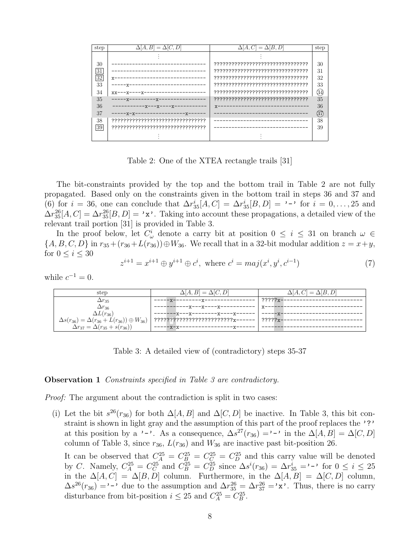

Table 2: One of the XTEA rectangle trails [31]

The bit-constraints provided by the top and the bottom trail in Table 2 are not fully propagated. Based only on the constraints given in the bottom trail in steps 36 and 37 and (6) for  $i = 36$ , one can conclude that  $\Delta r_{35}^i[A, C] = \Delta r_{35}^i[B, D] = \cdots$  for  $i = 0, \ldots, 25$  and  $\Delta r_{35}^{26}[A, C] = \Delta r_{35}^{26}[B, D] = 'x'.$  Taking into account these propagations, a detailed view of the relevant trail portion [31] is provided in Table 3.

In the proof below, let  $C^i_\omega$  denote a carry bit at position  $0 \leq i \leq 31$  on branch  $\omega \in$  $\{A, B, C, D\}$  in  $r_{35} + (r_{36} + L(r_{36})) \oplus W_{36}$ . We recall that in a 32-bit modular addition  $z = x+y$ , for  $0 \leq i \leq 30$ 

$$
z^{i+1} = x^{i+1} \oplus y^{i+1} \oplus c^i, \text{ where } c^i = maj(x^i, y^i, c^{i-1})
$$
\n(7)

while  $c^{-1} = 0$ .

| step                                                            | $\Delta[A, B] = \Delta[C, D]$               | $\Delta[A, C] = \Delta[B, D]$ |
|-----------------------------------------------------------------|---------------------------------------------|-------------------------------|
| $\Delta r_{35}$                                                 |                                             | $77777x -$                    |
| $\Delta r_{36}$                                                 | :--------------------                       |                               |
| $\Delta L(r_{36})$                                              | /X---X--------X----X-                       |                               |
| $\Delta s(r_{36}) = \Delta (r_{36} + L(r_{36})) \oplus W_{36})$ | ??????????????????????????x------   ?????x- |                               |
| $\Delta r_{37} = \Delta (r_{35} + s(r_{36}))$                   |                                             |                               |

Table 3: A detailed view of (contradictory) steps 35-37

#### **Observation 1** Constraints specified in Table 3 are contradictory.

Proof: The argument about the contradiction is split in two cases:

(i) Let the bit  $s^{26}(r_{36})$  for both  $\Delta[A, B]$  and  $\Delta[C, D]$  be inactive. In Table 3, this bit constraint is shown in light gray and the assumption of this part of the proof replaces the '?' at this position by a '-'. As a consequence,  $\Delta s^{27}(r_{36}) =$ '-' in the  $\Delta[A, B] = \Delta[C, D]$ column of Table 3, since  $r_{36}$ ,  $L(r_{36})$  and  $W_{36}$  are inactive past bit-position 26.

It can be observed that  $C_A^{25} = C_B^{25} = C_C^{25} = C_D^{25}$  and this carry value will be denoted by C. Namely,  $C_A^{25} = C_C^{25}$  and  $C_B^{25} = C_D^{25}$  since  $\Delta s^i(r_{36}) = \Delta r_{35}^i = -1$  for  $0 \le i \le 25$ in the  $\Delta[A, C] = \Delta[B, D]$  column. Furthermore, in the  $\Delta[A, B] = \Delta[C, D]$  column,  $\Delta s^{26}(r_{36}) = \cdots$  due to the assumption and  $\Delta r_{35}^{26} = \Delta r_{37}^{26} = \cdots$ . Thus, there is no carry disturbance from bit-position  $i \leq 25$  and  $C_A^{25} = C_B^{25}$ .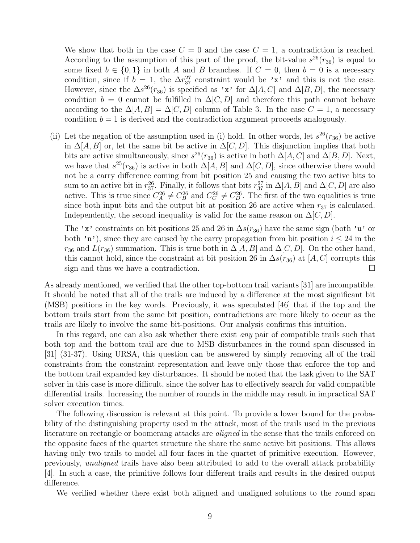We show that both in the case  $C = 0$  and the case  $C = 1$ , a contradiction is reached. According to the assumption of this part of the proof, the bit-value  $s^{26}(r_{36})$  is equal to some fixed  $b \in \{0,1\}$  in both A and B branches. If  $C = 0$ , then  $b = 0$  is a necessary condition, since if  $b = 1$ , the  $\Delta r_{37}^{27}$  constraint would be 'x' and this is not the case. However, since the  $\Delta s^{26}(r_{36})$  is specified as 'x' for  $\Delta[A, C]$  and  $\Delta[B, D]$ , the necessary condition  $b = 0$  cannot be fulfilled in  $\Delta[C, D]$  and therefore this path cannot behave according to the  $\Delta[A, B] = \Delta[C, D]$  column of Table 3. In the case  $C = 1$ , a necessary condition  $b = 1$  is derived and the contradiction argument proceeds analogously.

(ii) Let the negation of the assumption used in (i) hold. In other words, let  $s^{26}(r_{36})$  be active in  $\Delta[A, B]$  or, let the same bit be active in  $\Delta[C, D]$ . This disjunction implies that both bits are active simultaneously, since  $s^{26}(r_{36})$  is active in both  $\Delta[A, C]$  and  $\Delta[B, D]$ . Next, we have that  $s^{25}(r_{36})$  is active in both  $\Delta[A, B]$  and  $\Delta[C, D]$ , since otherwise there would not be a carry difference coming from bit position 25 and causing the two active bits to sum to an active bit in  $r_{37}^{26}$ . Finally, it follows that bits  $r_{37}^{27}$  in  $\Delta[A, B]$  and  $\Delta[C, D]$  are also active. This is true since  $C_A^{26} \neq C_B^{26}$  and  $C_C^{26} \neq C_D^{26}$ . The first of the two equalities is true since both input bits and the output bit at position 26 are active when  $r_{37}$  is calculated. Independently, the second inequality is valid for the same reason on  $\Delta[C, D]$ .

The 'x' constraints on bit positions 25 and 26 in  $\Delta s(r_{36})$  have the same sign (both 'u' or both 'n'), since they are caused by the carry propagation from bit position  $i \leq 24$  in the  $r_{36}$  and  $L(r_{36})$  summation. This is true both in  $\Delta[A, B]$  and  $\Delta[C, D]$ . On the other hand, this cannot hold, since the constraint at bit position 26 in  $\Delta s(r_{36})$  at [A, C] corrupts this sign and thus we have a contradiction.

As already mentioned, we verified that the other top-bottom trail variants [31] are incompatible. It should be noted that all of the trails are induced by a difference at the most significant bit (MSB) positions in the key words. Previously, it was speculated [46] that if the top and the bottom trails start from the same bit position, contradictions are more likely to occur as the trails are likely to involve the same bit-positions. Our analysis confirms this intuition.

In this regard, one can also ask whether there exist any pair of compatible trails such that both top and the bottom trail are due to MSB disturbances in the round span discussed in [31] (31-37). Using URSA, this question can be answered by simply removing all of the trail constraints from the constraint representation and leave only those that enforce the top and the bottom trail expanded key disturbances. It should be noted that the task given to the SAT solver in this case is more difficult, since the solver has to effectively search for valid compatible differential trails. Increasing the number of rounds in the middle may result in impractical SAT solver execution times.

The following discussion is relevant at this point. To provide a lower bound for the probability of the distinguishing property used in the attack, most of the trails used in the previous literature on rectangle or boomerang attacks are *aligned* in the sense that the trails enforced on the opposite faces of the quartet structure the share the same active bit positions. This allows having only two trails to model all four faces in the quartet of primitive execution. However, previously, unaligned trails have also been attributed to add to the overall attack probability [4]. In such a case, the primitive follows four different trails and results in the desired output difference.

We verified whether there exist both aligned and unaligned solutions to the round span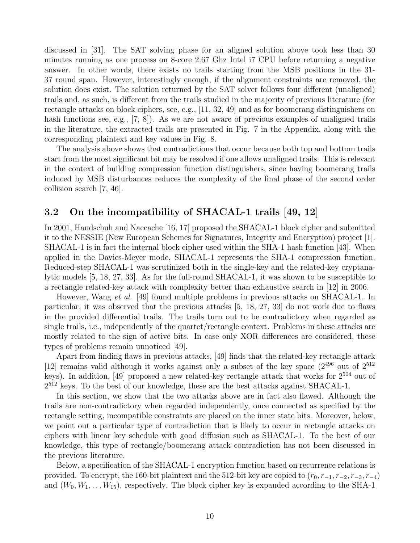discussed in [31]. The SAT solving phase for an aligned solution above took less than 30 minutes running as one process on 8-core 2.67 Ghz Intel i7 CPU before returning a negative answer. In other words, there exists no trails starting from the MSB positions in the 31- 37 round span. However, interestingly enough, if the alignment constraints are removed, the solution does exist. The solution returned by the SAT solver follows four different (unaligned) trails and, as such, is different from the trails studied in the majority of previous literature (for rectangle attacks on block ciphers, see, e.g., [11, 32, 49] and as for boomerang distinguishers on hash functions see, e.g., [7, 8]). As we are not aware of previous examples of unaligned trails in the literature, the extracted trails are presented in Fig. 7 in the Appendix, along with the corresponding plaintext and key values in Fig. 8.

The analysis above shows that contradictions that occur because both top and bottom trails start from the most significant bit may be resolved if one allows unaligned trails. This is relevant in the context of building compression function distinguishers, since having boomerang trails induced by MSB disturbances reduces the complexity of the final phase of the second order collision search [7, 46].

### 3.2 On the incompatibility of SHACAL-1 trails [49, 12]

In 2001, Handschuh and Naccache [16, 17] proposed the SHACAL-1 block cipher and submitted it to the NESSIE (New European Schemes for Signatures, Integrity and Encryption) project [1]. SHACAL-1 is in fact the internal block cipher used within the SHA-1 hash function [43]. When applied in the Davies-Meyer mode, SHACAL-1 represents the SHA-1 compression function. Reduced-step SHACAL-1 was scrutinized both in the single-key and the related-key cryptanalytic models [5, 18, 27, 33]. As for the full-round SHACAL-1, it was shown to be susceptible to a rectangle related-key attack with complexity better than exhaustive search in [12] in 2006.

However, Wang *et al.* [49] found multiple problems in previous attacks on SHACAL-1. In particular, it was observed that the previous attacks [5, 18, 27, 33] do not work due to flaws in the provided differential trails. The trails turn out to be contradictory when regarded as single trails, i.e., independently of the quartet/rectangle context. Problems in these attacks are mostly related to the sign of active bits. In case only XOR differences are considered, these types of problems remain unnoticed [49].

Apart from finding flaws in previous attacks, [49] finds that the related-key rectangle attack [12] remains valid although it works against only a subset of the key space  $(2^{496}$  out of  $2^{512}$ keys). In addition, [49] proposed a new related-key rectangle attack that works for 2<sup>504</sup> out of  $2^{512}$  keys. To the best of our knowledge, these are the best attacks against SHACAL-1.

In this section, we show that the two attacks above are in fact also flawed. Although the trails are non-contradictory when regarded independently, once connected as specified by the rectangle setting, incompatible constraints are placed on the inner state bits. Moreover, below, we point out a particular type of contradiction that is likely to occur in rectangle attacks on ciphers with linear key schedule with good diffusion such as SHACAL-1. To the best of our knowledge, this type of rectangle/boomerang attack contradiction has not been discussed in the previous literature.

Below, a specification of the SHACAL-1 encryption function based on recurrence relations is provided. To encrypt, the 160-bit plaintext and the 512-bit key are copied to  $(r_0, r_{-1}, r_{-2}, r_{-3}, r_{-4})$ and  $(W_0, W_1, \ldots W_{15})$ , respectively. The block cipher key is expanded according to the SHA-1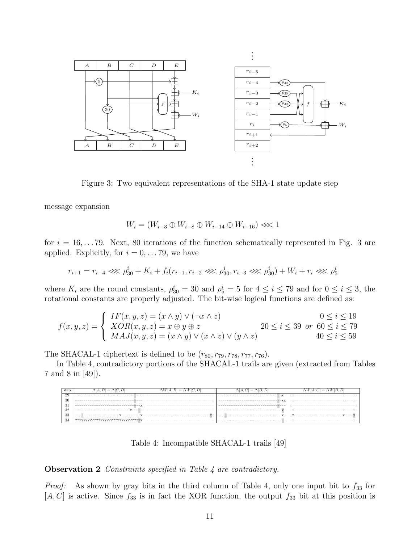

Figure 3: Two equivalent representations of the SHA-1 state update step

message expansion

$$
W_i = (W_{i-3} \oplus W_{i-8} \oplus W_{i-14} \oplus W_{i-16}) \lll 1
$$

for  $i = 16, \ldots 79$ . Next, 80 iterations of the function schematically represented in Fig. 3 are applied. Explicitly, for  $i = 0, \ldots 79$ , we have

$$
r_{i+1} = r_{i-4} \lll \rho_{30}^i + K_i + f_i(r_{i-1}, r_{i-2} \lll \rho_{30}^i, r_{i-3} \lll \rho_{30}^i) + W_i + r_i \lll \rho_5^i
$$

where  $K_i$  are the round constants,  $\rho_{30}^i = 30$  and  $\rho_5^i = 5$  for  $4 \le i \le 79$  and for  $0 \le i \le 3$ , the rotational constants are properly adjusted. The bit-wise logical functions are defined as:

$$
f(x,y,z) = \begin{cases} IF(x,y,z) = (x \wedge y) \vee (\neg x \wedge z) & 0 \leq i \leq 19\\ XOR(x,y,z) = x \oplus y \oplus z & 20 \leq i \leq 39 \text{ or } 60 \leq i \leq 79\\ MAJ(x,y,z) = (x \wedge y) \vee (x \wedge z) \vee (y \wedge z) & 40 \leq i \leq 59 \end{cases}
$$

The SHACAL-1 ciphertext is defined to be  $(r_{80}, r_{79}, r_{78}, r_{77}, r_{76})$ .

In Table 4, contradictory portions of the SHACAL-1 trails are given (extracted from Tables 7 and 8 in [49]).

| step | $\Delta[A, B] = \Delta[\overline{C, D}]$ | $\Delta W[A, B] = \Delta W[C, D]$ | $\Delta[A, C] = \Delta[\overline{B, D}]$ | $\Delta W[A, C] = \Delta W[B, D]$  |
|------|------------------------------------------|-----------------------------------|------------------------------------------|------------------------------------|
| -29  |                                          |                                   |                                          |                                    |
| -30  |                                          |                                   | - - -                                    |                                    |
| -31  |                                          |                                   |                                          |                                    |
| -32  |                                          |                                   |                                          | ---------------------------------- |
| -33  |                                          |                                   |                                          |                                    |
| 34   | ????????????????????????????????         |                                   |                                          |                                    |

Table 4: Incompatible SHACAL-1 trails [49]

#### **Observation 2** Constraints specified in Table 4 are contradictory.

*Proof:* As shown by gray bits in the third column of Table 4, only one input bit to  $f_{33}$  for  $[A, C]$  is active. Since  $f_{33}$  is in fact the XOR function, the output  $f_{33}$  bit at this position is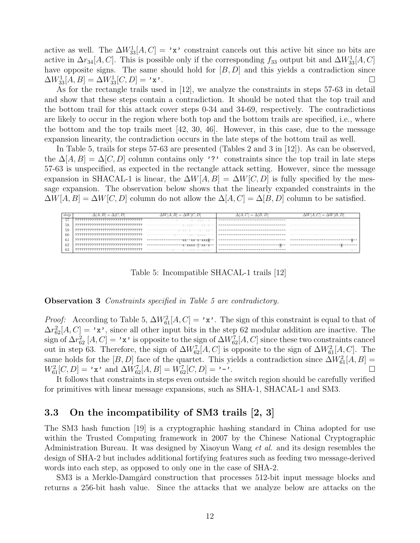active as well. The  $\Delta W_{33}^1[A, C] = 'x'$  constraint cancels out this active bit since no bits are active in  $\Delta r_{34}[A, C]$ . This is possible only if the corresponding  $f_{33}$  output bit and  $\Delta W_{33}^1[A, C]$ have opposite signs. The same should hold for  $[B, D]$  and this yields a contradiction since  $\Delta W_{33}^1[A, B] = \Delta W_{33}^1[C, D] = 'x'.$ 

As for the rectangle trails used in [12], we analyze the constraints in steps 57-63 in detail and show that these steps contain a contradiction. It should be noted that the top trail and the bottom trail for this attack cover steps 0-34 and 34-69, respectively. The contradictions are likely to occur in the region where both top and the bottom trails are specified, i.e., where the bottom and the top trails meet [42, 30, 46]. However, in this case, due to the message expansion linearity, the contradiction occurs in the late steps of the bottom trail as well.

In Table 5, trails for steps 57-63 are presented (Tables 2 and 3 in [12]). As can be observed, the  $\Delta[A, B] = \Delta[C, D]$  column contains only '?' constraints since the top trail in late steps 57-63 is unspecified, as expected in the rectangle attack setting. However, since the message expansion in SHACAL-1 is linear, the  $\Delta W[A, B] = \Delta W[C, D]$  is fully specified by the message expansion. The observation below shows that the linearly expanded constraints in the  $\Delta W[A, B] = \Delta W[C, D]$  column do not allow the  $\Delta[A, C] = \Delta[B, D]$  column to be satisfied.

| step | $\Delta[A, B] = \Delta[C, D]$     | $\Delta W[A, B] = \Delta W[C, D]$                                                                                 | $\Delta[A, C] = \Delta[B, D]$ | $\Delta W[A, C] = \Delta W[B, D]$ |
|------|-----------------------------------|-------------------------------------------------------------------------------------------------------------------|-------------------------------|-----------------------------------|
| -57  | ????????????????????????????????? |                                                                                                                   |                               |                                   |
|      | ????????????????????????????????? |                                                                                                                   |                               |                                   |
| 59   | ????????????????????????????????? |                                                                                                                   |                               |                                   |
| -60  | ????????????????????????????????? | ------------------------------<br>$\begin{array}{c} \Delta \Delta \Delta \Delta \Delta \Delta \Delta \end{array}$ |                               |                                   |
| -61  | ????????????????????????????????? | --xx--xx-x-xxxx--                                                                                                 |                               |                                   |
| -62  | ????????????????????????????????? | --x-xxxx---xx-x--                                                                                                 |                               |                                   |
| -62  | ????????????????????????????????  | --------y----y--yyy-y-yyyy-                                                                                       |                               |                                   |

Table 5: Incompatible SHACAL-1 trails [12]

#### **Observation 3** Constraints specified in Table 5 are contradictory.

*Proof:* According to Table 5,  $\Delta W_{61}^2[A, C] = 'x'$ . The sign of this constraint is equal to that of  $\Delta r_{62}^2[A, C] = 'x'$ , since all other input bits in the step 62 modular addition are inactive. The sign of  $\Delta r_{62}^2$  [A, C] = 'x' is opposite to the sign of  $\Delta W_{62}^7[A,C]$  since these two constraints cancel out in step 63. Therefore, the sign of  $\Delta W_{62}^7[A, C]$  is opposite to the sign of  $\Delta W_{61}^2[A, C]$ . The same holds for the  $[B, D]$  face of the quartet. This yields a contradiction since  $\Delta W_{61}^2[A, B] =$  $W_{61}^2[C, D] = 'x'$  and  $\Delta W_{62}^7[A, B] = W_{62}^7[C, D] = '-''.$ 

It follows that constraints in steps even outside the switch region should be carefully verified for primitives with linear message expansions, such as SHA-1, SHACAL-1 and SM3.

### 3.3 On the incompatibility of SM3 trails [2, 3]

The SM3 hash function [19] is a cryptographic hashing standard in China adopted for use within the Trusted Computing framework in 2007 by the Chinese National Cryptographic Administration Bureau. It was designed by Xiaoyun Wang *et al.* and its design resembles the design of SHA-2 but includes additional fortifying features such as feeding two message-derived words into each step, as opposed to only one in the case of SHA-2.

SM3 is a Merkle-Damgård construction that processes 512-bit input message blocks and returns a 256-bit hash value. Since the attacks that we analyze below are attacks on the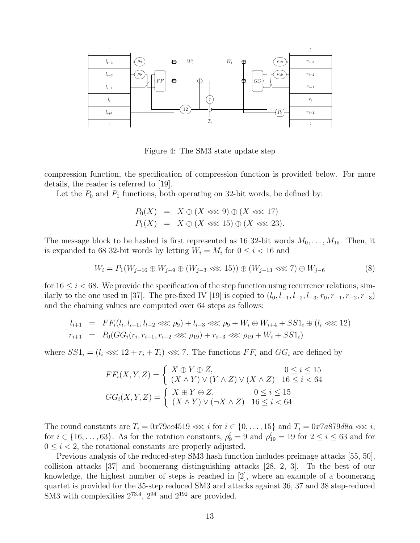

Figure 4: The SM3 state update step

compression function, the specification of compression function is provided below. For more details, the reader is referred to [19].

Let the  $P_0$  and  $P_1$  functions, both operating on 32-bit words, be defined by:

$$
P_0(X) = X \oplus (X \lll 9) \oplus (X \lll 17) P_1(X) = X \oplus (X \lll 15) \oplus (X \lll 23).
$$

The message block to be hashed is first represented as 16 32-bit words  $M_0, \ldots, M_{15}$ . Then, it is expanded to 68 32-bit words by letting  $W_i = M_i$  for  $0 \leq i < 16$  and

$$
W_i = P_1(W_{j-16} \oplus W_{j-9} \oplus (W_{j-3} \lll 15)) \oplus (W_{j-13} \lll 7) \oplus W_{j-6}
$$
\n(8)

for  $16 \leq i < 68$ . We provide the specification of the step function using recurrence relations, similarly to the one used in [37]. The pre-fixed IV [19] is copied to  $(l_0, l_{-1}, l_{-2}, l_{-3}, r_0, r_{-1}, r_{-2}, r_{-3})$ and the chaining values are computed over 64 steps as follows:

$$
l_{i+1} = FF_i(l_i, l_{i-1}, l_{t-2} \lll \rho_9) + l_{i-3} \lll \rho_9 + W_i \oplus W_{i+4} + SS1_i \oplus (l_i \lll 12)
$$
  

$$
r_{i+1} = P_0(GG_i(r_i, r_{i-1}, r_{i-2} \lll \rho_{19}) + r_{i-3} \lll \rho_{19} + W_i + SS1_i)
$$

where  $SS1_i = (l_i \lll 12 + r_i + T_i) \lll 7$ . The functions  $FF_i$  and  $GG_i$  are defined by

$$
FF_i(X, Y, Z) = \begin{cases} X \oplus Y \oplus Z, & 0 \le i \le 15 \\ (X \wedge Y) \vee (Y \wedge Z) \vee (X \wedge Z) & 16 \le i < 64 \end{cases}
$$
  

$$
GG_i(X, Y, Z) = \begin{cases} X \oplus Y \oplus Z, & 0 \le i \le 15 \\ (X \wedge Y) \vee (\neg X \wedge Z) & 16 \le i < 64 \end{cases}
$$

The round constants are  $T_i = 0x79cc4519 \ll i$  for  $i \in \{0, \ldots, 15\}$  and  $T_i = 0x7a879d8a \ll i$ , for  $i \in \{16,\ldots,63\}$ . As for the rotation constants,  $\rho_9^i = 9$  and  $\rho_{19}^i = 19$  for  $2 \le i \le 63$  and for  $0 \leq i \leq 2$ , the rotational constants are properly adjusted.

Previous analysis of the reduced-step SM3 hash function includes preimage attacks [55, 50], collision attacks [37] and boomerang distinguishing attacks [28, 2, 3]. To the best of our knowledge, the highest number of steps is reached in [2], where an example of a boomerang quartet is provided for the 35-step reduced SM3 and attacks against 36, 37 and 38 step-reduced SM3 with complexities  $2^{73.4}$ ,  $2^{94}$  and  $2^{192}$  are provided.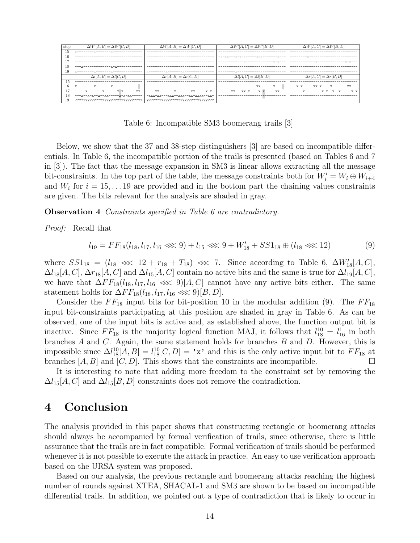| step | $\Delta W'[A, B] = \Delta W'[C, D]$ | $\Delta W[A, B] = \Delta W[C, D]$     | $\Delta W'[A,C] = \Delta W'[B,D]$ | $\Delta W[A, C] = \Delta W[B, D]$ |
|------|-------------------------------------|---------------------------------------|-----------------------------------|-----------------------------------|
| 15   |                                     |                                       |                                   |                                   |
| 16   |                                     |                                       | -X-XX---X-X-X------XXX-------X--- | ----------------------            |
|      |                                     |                                       |                                   |                                   |
| 18   | -x-x-                               |                                       |                                   |                                   |
|      | ----------------------------------  | ------------------------------------- | ---------------------<br>----     |                                   |
|      | 4. B] $= \Delta l[C, I]$            | $B = \Delta r$                        | $=$ $\triangle$ <i>IIR D</i>      | $C = \Delta r [B]$                |
|      |                                     |                                       |                                   |                                   |
|      |                                     |                                       | -xx-<br>----------                | ---x-x------xx-x-----x            |
|      | --xx-                               | -xx-----x-x-<br>-----xx-              | $-xx---$<br>--xx---xx-x----x-x    | --x-x--x--x-                      |
| 18   |                                     | -xxx-xx---xxx--xxx--xx-xxxx--xx-      |                                   |                                   |
|      |                                     |                                       |                                   |                                   |

Table 6: Incompatible SM3 boomerang trails [3]

Below, we show that the 37 and 38-step distinguishers [3] are based on incompatible differentials. In Table 6, the incompatible portion of the trails is presented (based on Tables 6 and 7 in [3]). The fact that the message expansion in SM3 is linear allows extracting all the message bit-constraints. In the top part of the table, the message constraints both for  $W_i' = W_i \oplus W_{i+4}$ and  $W_i$  for  $i = 15, \ldots 19$  are provided and in the bottom part the chaining values constraints are given. The bits relevant for the analysis are shaded in gray.

**Observation 4** Constraints specified in Table 6 are contradictory.

Proof: Recall that

$$
l_{19} = FF_{18}(l_{18}, l_{17}, l_{16} \lll 9) + l_{15} \lll 9 + W'_{18} + SS1_{18} \oplus (l_{18} \lll 12) \tag{9}
$$

where  $SS1_{18} = (l_{18} \ll 12 + r_{18} + T_{18}) \ll 7$ . Since according to Table 6,  $\Delta W'_{18}[A, C]$ ,  $\Delta l_{18}[A, C], \Delta r_{18}[A, C]$  and  $\Delta l_{15}[A, C]$  contain no active bits and the same is true for  $\Delta l_{19}[A, C]$ , we have that  $\Delta FF_{18}(l_{18}, l_{17}, l_{16} \ll 9)[A, C]$  cannot have any active bits either. The same statement holds for  $\Delta FF_{18}(l_{18}, l_{17}, l_{16} \lll 9)[B, D].$ 

Consider the  $FF_{18}$  input bits for bit-position 10 in the modular addition (9). The  $FF_{18}$ input bit-constraints participating at this position are shaded in gray in Table 6. As can be observed, one of the input bits is active and, as established above, the function output bit is inactive. Since  $FF_{18}$  is the majority logical function MAJ, it follows that  $l_{18}^{10} = l_{16}^{1}$  in both branches A and C. Again, the same statement holds for branches  $B$  and  $D$ . However, this is impossible since  $\Delta l_{18}^{10}[A, B] = l_{18}^{10}[C, D] = 'x'$  and this is the only active input bit to  $FF_{18}$  at branches  $[A, B]$  and  $[C, D]$ . This shows that the constraints are incompatible.

It is interesting to note that adding more freedom to the constraint set by removing the  $\Delta l_{15}[A, C]$  and  $\Delta l_{15}[B, D]$  constraints does not remove the contradiction.

## 4 Conclusion

The analysis provided in this paper shows that constructing rectangle or boomerang attacks should always be accompanied by formal verification of trails, since otherwise, there is little assurance that the trails are in fact compatible. Formal verification of trails should be performed whenever it is not possible to execute the attack in practice. An easy to use verification approach based on the URSA system was proposed.

Based on our analysis, the previous rectangle and boomerang attacks reaching the highest number of rounds against XTEA, SHACAL-1 and SM3 are shown to be based on incompatible differential trails. In addition, we pointed out a type of contradiction that is likely to occur in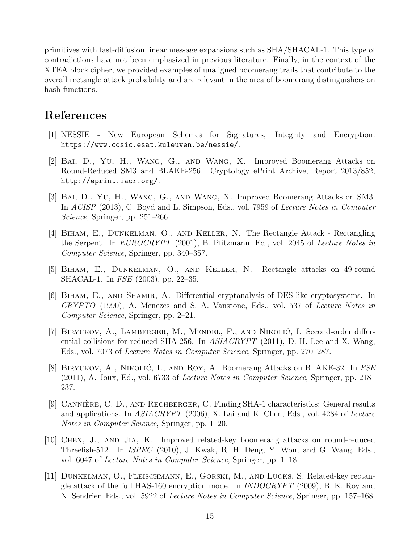primitives with fast-diffusion linear message expansions such as SHA/SHACAL-1. This type of contradictions have not been emphasized in previous literature. Finally, in the context of the XTEA block cipher, we provided examples of unaligned boomerang trails that contribute to the overall rectangle attack probability and are relevant in the area of boomerang distinguishers on hash functions.

## References

- [1] NESSIE New European Schemes for Signatures, Integrity and Encryption. https://www.cosic.esat.kuleuven.be/nessie/.
- [2] Bai, D., Yu, H., Wang, G., and Wang, X. Improved Boomerang Attacks on Round-Reduced SM3 and BLAKE-256. Cryptology ePrint Archive, Report 2013/852, http://eprint.iacr.org/.
- [3] Bai, D., Yu, H., Wang, G., and Wang, X. Improved Boomerang Attacks on SM3. In ACISP (2013), C. Boyd and L. Simpson, Eds., vol. 7959 of Lecture Notes in Computer Science, Springer, pp. 251–266.
- [4] Biham, E., Dunkelman, O., and Keller, N. The Rectangle Attack Rectangling the Serpent. In EUROCRYPT (2001), B. Pfitzmann, Ed., vol. 2045 of Lecture Notes in Computer Science, Springer, pp. 340–357.
- [5] Biham, E., Dunkelman, O., and Keller, N. Rectangle attacks on 49-round SHACAL-1. In *FSE* (2003), pp. 22–35.
- [6] Biham, E., and Shamir, A. Differential cryptanalysis of DES-like cryptosystems. In CRYPTO (1990), A. Menezes and S. A. Vanstone, Eds., vol. 537 of Lecture Notes in Computer Science, Springer, pp. 2–21.
- [7] BIRYUKOV, A., LAMBERGER, M., MENDEL, F., AND NIKOLIĆ, I. Second-order differential collisions for reduced SHA-256. In ASIACRYPT (2011), D. H. Lee and X. Wang, Eds., vol. 7073 of Lecture Notes in Computer Science, Springer, pp. 270–287.
- [8] BIRYUKOV, A., NIKOLIĆ, I., AND ROY, A. Boomerang Attacks on BLAKE-32. In  $FSE$  $(2011)$ , A. Joux, Ed., vol. 6733 of *Lecture Notes in Computer Science*, Springer, pp. 218– 237.
- [9] CANNIÈRE, C. D., AND RECHBERGER, C. Finding SHA-1 characteristics: General results and applications. In ASIACRYPT (2006), X. Lai and K. Chen, Eds., vol. 4284 of Lecture Notes in Computer Science, Springer, pp. 1–20.
- [10] Chen, J., and Jia, K. Improved related-key boomerang attacks on round-reduced Threefish-512. In ISPEC (2010), J. Kwak, R. H. Deng, Y. Won, and G. Wang, Eds., vol. 6047 of Lecture Notes in Computer Science, Springer, pp. 1–18.
- [11] Dunkelman, O., Fleischmann, E., Gorski, M., and Lucks, S. Related-key rectangle attack of the full HAS-160 encryption mode. In INDOCRYPT (2009), B. K. Roy and N. Sendrier, Eds., vol. 5922 of Lecture Notes in Computer Science, Springer, pp. 157–168.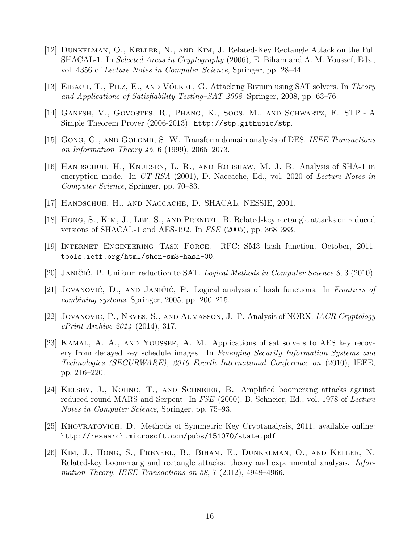- [12] Dunkelman, O., Keller, N., and Kim, J. Related-Key Rectangle Attack on the Full SHACAL-1. In Selected Areas in Cryptography (2006), E. Biham and A. M. Youssef, Eds., vol. 4356 of Lecture Notes in Computer Science, Springer, pp. 28–44.
- [13] EIBACH, T., PILZ, E., AND VÖLKEL, G. Attacking Bivium using SAT solvers. In Theory and Applications of Satisfiability Testing–SAT 2008. Springer, 2008, pp. 63–76.
- [14] Ganesh, V., Govostes, R., Phang, K., Soos, M., and Schwartz, E. STP A Simple Theorem Prover (2006-2013). http://stp.githubio/stp.
- [15] GONG, G., AND GOLOMB, S. W. Transform domain analysis of DES. IEEE Transactions on Information Theory 45, 6 (1999), 2065–2073.
- [16] HANDSCHUH, H., KNUDSEN, L. R., AND ROBSHAW, M. J. B. Analysis of SHA-1 in encryption mode. In CT-RSA (2001), D. Naccache, Ed., vol. 2020 of Lecture Notes in Computer Science, Springer, pp. 70–83.
- [17] Handschuh, H., and Naccache, D. SHACAL. NESSIE, 2001.
- [18] Hong, S., Kim, J., Lee, S., and Preneel, B. Related-key rectangle attacks on reduced versions of SHACAL-1 and AES-192. In  $FSE$  (2005), pp. 368–383.
- [19] Internet Engineering Task Force. RFC: SM3 hash function, October, 2011. tools.ietf.org/html/shen-sm3-hash-00.
- [20] JANICIC, P. Uniform reduction to SAT. Logical Methods in Computer Science 8, 3 (2010).
- [21] JOVANOVIĆ, D., AND JANIČIĆ, P. Logical analysis of hash functions. In Frontiers of combining systems. Springer, 2005, pp. 200–215.
- [22] JOVANOVIC, P., NEVES, S., AND AUMASSON, J.-P. Analysis of NORX. *IACR Cryptology* ePrint Archive 2014 (2014), 317.
- [23] KAMAL, A. A., AND YOUSSEF, A. M. Applications of sat solvers to AES key recovery from decayed key schedule images. In Emerging Security Information Systems and Technologies (SECURWARE), 2010 Fourth International Conference on (2010), IEEE, pp. 216–220.
- [24] KELSEY, J., KOHNO, T., AND SCHNEIER, B. Amplified boomerang attacks against reduced-round MARS and Serpent. In FSE (2000), B. Schneier, Ed., vol. 1978 of Lecture Notes in Computer Science, Springer, pp. 75–93.
- [25] Khovratovich, D. Methods of Symmetric Key Cryptanalysis, 2011, available online: http://research.microsoft.com/pubs/151070/state.pdf .
- [26] Kim, J., Hong, S., Preneel, B., Biham, E., Dunkelman, O., and Keller, N. Related-key boomerang and rectangle attacks: theory and experimental analysis. Information Theory, IEEE Transactions on 58, 7 (2012), 4948–4966.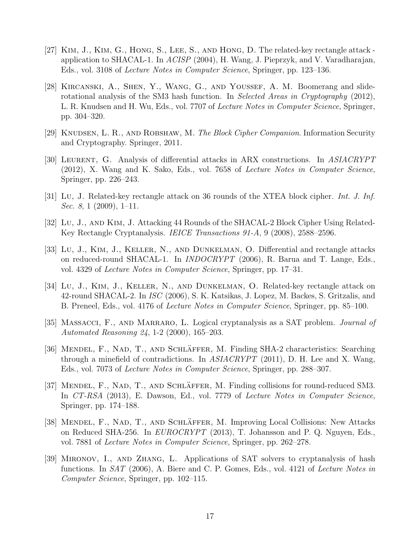- [27] Kim, J., Kim, G., Hong, S., Lee, S., and Hong, D. The related-key rectangle attack application to SHACAL-1. In ACISP (2004), H. Wang, J. Pieprzyk, and V. Varadharajan, Eds., vol. 3108 of Lecture Notes in Computer Science, Springer, pp. 123–136.
- [28] Kircanski, A., Shen, Y., Wang, G., and Youssef, A. M. Boomerang and sliderotational analysis of the SM3 hash function. In Selected Areas in Cryptography (2012), L. R. Knudsen and H. Wu, Eds., vol. 7707 of Lecture Notes in Computer Science, Springer, pp. 304–320.
- [29] KNUDSEN, L. R., AND ROBSHAW, M. The Block Cipher Companion. Information Security and Cryptography. Springer, 2011.
- [30] Leurent, G. Analysis of differential attacks in ARX constructions. In ASIACRYPT (2012), X. Wang and K. Sako, Eds., vol. 7658 of Lecture Notes in Computer Science, Springer, pp. 226–243.
- [31] Lu, J. Related-key rectangle attack on 36 rounds of the XTEA block cipher. Int. J. Inf. *Sec.* 8, 1 (2009), 1–11.
- [32] Lu, J., and Kim, J. Attacking 44 Rounds of the SHACAL-2 Block Cipher Using Related-Key Rectangle Cryptanalysis. IEICE Transactions 91-A, 9 (2008), 2588–2596.
- [33] Lu, J., KIM, J., KELLER, N., AND DUNKELMAN, O. Differential and rectangle attacks on reduced-round SHACAL-1. In INDOCRYPT (2006), R. Barua and T. Lange, Eds., vol. 4329 of *Lecture Notes in Computer Science*, Springer, pp. 17–31.
- [34] Lu, J., Kim, J., Keller, N., and Dunkelman, O. Related-key rectangle attack on 42-round SHACAL-2. In ISC (2006), S. K. Katsikas, J. Lopez, M. Backes, S. Gritzalis, and B. Preneel, Eds., vol. 4176 of Lecture Notes in Computer Science, Springer, pp. 85–100.
- [35] MASSACCI, F., AND MARRARO, L. Logical cryptanalysis as a SAT problem. *Journal of* Automated Reasoning 24, 1-2 (2000), 165–203.
- [36] MENDEL, F., NAD, T., AND SCHLAFFER, M. Finding SHA-2 characteristics: Searching through a minefield of contradictions. In ASIACRYPT (2011), D. H. Lee and X. Wang, Eds., vol. 7073 of Lecture Notes in Computer Science, Springer, pp. 288–307.
- [37] MENDEL, F., NAD, T., AND SCHLAFFER, M. Finding collisions for round-reduced SM3. In CT-RSA (2013), E. Dawson, Ed., vol. 7779 of Lecture Notes in Computer Science, Springer, pp. 174–188.
- [38] MENDEL, F., NAD, T., AND SCHLÄFFER, M. Improving Local Collisions: New Attacks on Reduced SHA-256. In EUROCRYPT (2013), T. Johansson and P. Q. Nguyen, Eds., vol. 7881 of Lecture Notes in Computer Science, Springer, pp. 262–278.
- [39] Mironov, I., and Zhang, L. Applications of SAT solvers to cryptanalysis of hash functions. In *SAT* (2006), A. Biere and C. P. Gomes, Eds., vol. 4121 of Lecture Notes in Computer Science, Springer, pp. 102–115.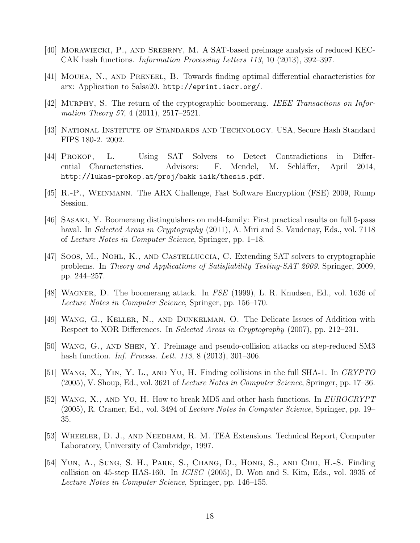- [40] Morawiecki, P., and Srebrny, M. A SAT-based preimage analysis of reduced KEC-CAK hash functions. Information Processing Letters 113, 10 (2013), 392–397.
- [41] Mouha, N., and Preneel, B. Towards finding optimal differential characteristics for arx: Application to Salsa20. http://eprint.iacr.org/.
- [42] MURPHY, S. The return of the cryptographic boomerang. IEEE Transactions on Information Theory 57, 4 (2011), 2517–2521.
- [43] National Institute of Standards and Technology. USA, Secure Hash Standard FIPS 180-2. 2002.
- [44] Prokop, L. Using SAT Solvers to Detect Contradictions in Differential Characteristics. Advisors: F. Mendel, M. Schläffer, April 2014, http://lukas-prokop.at/proj/bakk\_iaik/thesis.pdf.
- [45] R.-P., Weinmann. The ARX Challenge, Fast Software Encryption (FSE) 2009, Rump Session.
- [46] Sasaki, Y. Boomerang distinguishers on md4-family: First practical results on full 5-pass haval. In *Selected Areas in Cryptography* (2011), A. Miri and S. Vaudenay, Eds., vol. 7118 of Lecture Notes in Computer Science, Springer, pp. 1–18.
- [47] Soos, M., Nohl, K., and Castelluccia, C. Extending SAT solvers to cryptographic problems. In Theory and Applications of Satisfiability Testing-SAT 2009. Springer, 2009, pp. 244–257.
- [48] WAGNER, D. The boomerang attack. In FSE (1999), L. R. Knudsen, Ed., vol. 1636 of Lecture Notes in Computer Science, Springer, pp. 156–170.
- [49] Wang, G., Keller, N., and Dunkelman, O. The Delicate Issues of Addition with Respect to XOR Differences. In Selected Areas in Cryptography (2007), pp. 212–231.
- [50] Wang, G., and Shen, Y. Preimage and pseudo-collision attacks on step-reduced SM3 hash function. *Inf. Process. Lett.* 113, 8 (2013), 301–306.
- [51] Wang, X., Yin, Y. L., and Yu, H. Finding collisions in the full SHA-1. In CRYPTO (2005), V. Shoup, Ed., vol. 3621 of Lecture Notes in Computer Science, Springer, pp. 17–36.
- [52] Wang, X., and Yu, H. How to break MD5 and other hash functions. In EUROCRYPT (2005), R. Cramer, Ed., vol. 3494 of Lecture Notes in Computer Science, Springer, pp. 19– 35.
- [53] Wheeler, D. J., and Needham, R. M. TEA Extensions. Technical Report, Computer Laboratory, University of Cambridge, 1997.
- [54] Yun, A., Sung, S. H., Park, S., Chang, D., Hong, S., and Cho, H.-S. Finding collision on  $45$ -step HAS-160. In  $ICISC$  (2005), D. Won and S. Kim, Eds., vol. 3935 of Lecture Notes in Computer Science, Springer, pp. 146–155.